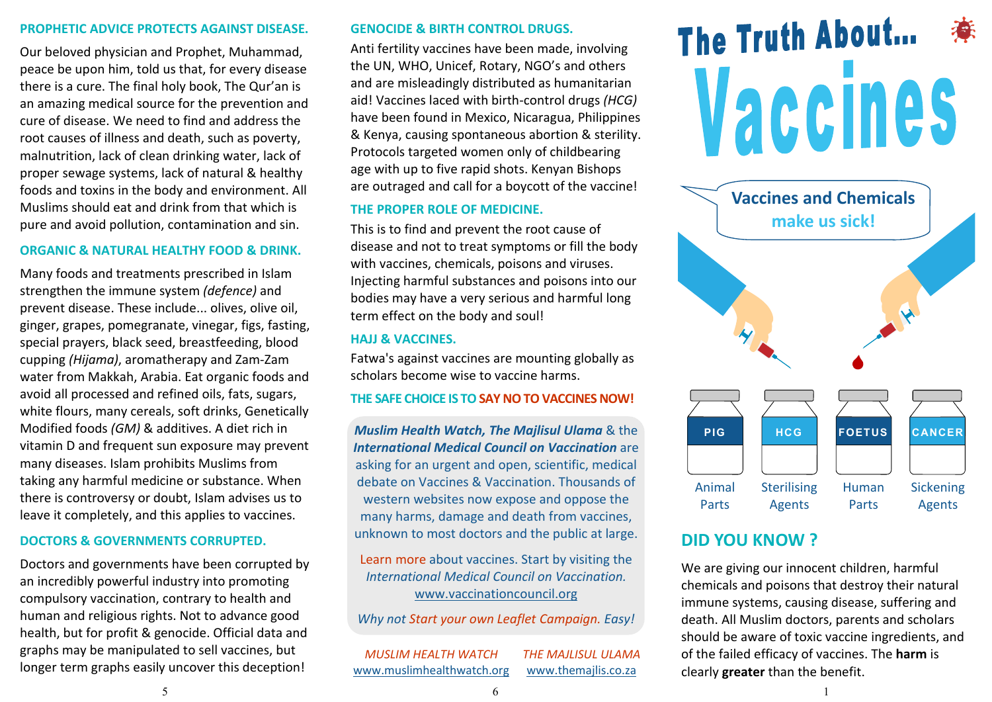#### PROPHETIC ADVICE PROTECTS AGAINST DISEASE.

Our beloved physician and Prophet, Muhammad, peace be upon him, told us that, for every disease there is a cure. The final holy book, The Qur'an is an amazing medical source for the prevention and cure of disease. We need to find and address the root causes of illness and death, such as poverty, malnutrition, lack of clean drinking water, lack of proper sewage systems, lack of natural & healthy foods and toxins in the body and environment. All Muslims should eat and drink from that which is pure and avoid pollution, contamination and sin.

### ORGANIC & NATURAL HEALTHY FOOD & DRINK.

Many foods and treatments prescribed in Islam strengthen the immune system *(defence)* and prevent disease. These include... olives, olive oil, ginger, grapes, pomegranate, vinegar, figs, fasting, special prayers, black seed, breastfeeding, blood cupping *(Hijama)*, aromatherapy and Zam-Zam water from Makkah, Arabia. Eat organic foods and avoid all processed and refined oils, fats, sugars, white flours, many cereals, soft drinks, Genetically Modified foods *(GM)* & additives. A diet rich in vitamin D and frequent sun exposure may prevent many diseases. Islam prohibits Muslims from taking any harmful medicine or substance. When there is controversy or doubt, Islam advises us to leave it completely, and this applies to vaccines.

## DOCTORS & GOVERNMENTS CORRUPTED.

Doctors and governments have been corrupted by an incredibly powerful industry into promoting compulsory vaccination, contrary to health and human and religious rights. Not to advance good health, but for profit & genocide. Official data and graphs may be manipulated to sell vaccines, but longer term graphs easily uncover this deception!

### GENOCIDE & BIRTH CONTROL DRUGS.

Anti fertility vaccines have been made, involving the UN, WHO, Unicef, Rotary, NGO's and others and are misleadingly distributed as humanitarian aid! Vaccines laced with birth-control drugs *(HCG)*  have been found in Mexico, Nicaragua, Philippines & Kenya, causing spontaneous abortion & sterility. Protocols targeted women only of childbearing age with up to five rapid shots. Kenyan Bishops are outraged and call for a boycott of the vaccine!

## THE PROPER ROLE OF MEDICINE.

This is to find and prevent the root cause of disease and not to treat symptoms or fill the body with vaccines, chemicals, poisons and viruses. Injecting harmful substances and poisons into our bodies may have a very serious and harmful long term effect on the body and soul!

## HAJJ & VACCINES.

Fatwa's against vaccines are mounting globally as scholars become wise to vaccine harms.

## THE SAFE CHOICE IS TO SAY NO TO VACCINES NOW!

*Muslim Health Watch, The Majlisul Ulama* & the *International Medical Council on Vaccination* are asking for an urgent and open, scientific, medical debate on Vaccines & Vaccination. Thousands of western websites now expose and oppose the many harms, damage and death from vaccines, unknown to most doctors and the public at large.

Learn more about vaccines. Start by visiting the *International Medical Council on Vaccination.*  www.vaccinationcouncil.org

*Why not Start your own Leaflet Campaign. Easy!*

*MUSLIM HEALTH WATCH* www.muslimhealthwatch.org *THE MAJLISUL ULAMA* www.themajlis.co.za

# The Truth About... Vaccines



# DID YOU KNOW ?

We are giving our innocent children, harmful chemicals and poisons that destroy their natural immune systems, causing disease, suffering and death. All Muslim doctors, parents and scholars should be aware of toxic vaccine ingredients, and of the failed efficacy of vaccines. The harm is clearly greater than the benefit.